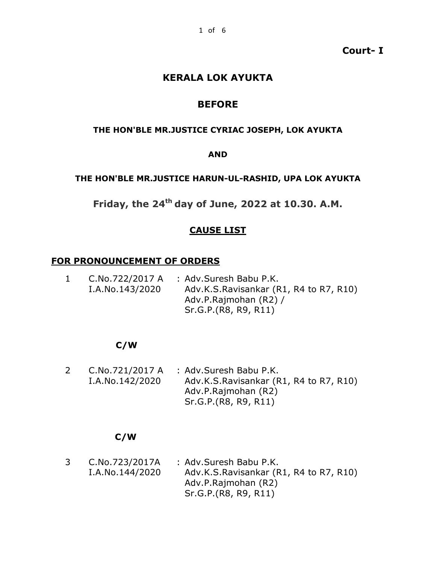**Court- I**

# **KERALA LOK AYUKTA**

# **BEFORE**

#### **THE HON'BLE MR.JUSTICE CYRIAC JOSEPH, LOK AYUKTA**

#### **AND**

#### **THE HON'BLE MR.JUSTICE HARUN-UL-RASHID, UPA LOK AYUKTA**

**Friday, the 24th day of June, 2022 at 10.30. A.M.**

#### **CAUSE LIST**

#### **FOR PRONOUNCEMENT OF ORDERS**

| $\mathbf{1}$ |                 | $C.No.722/2017 A$ : Adv. Suresh Babu P.K. |
|--------------|-----------------|-------------------------------------------|
|              | I.A.No.143/2020 | Adv.K.S.Ravisankar (R1, R4 to R7, R10)    |
|              |                 | Adv.P.Rajmohan (R2) /                     |
|              |                 | Sr.G.P. (R8, R9, R11)                     |

#### **C/W**

2 C.No.721/2017 A : Adv.Suresh Babu P.K. I.A.No.142/2020 Adv.K.S.Ravisankar (R1, R4 to R7, R10) Adv.P.Rajmohan (R2) Sr.G.P.(R8, R9, R11)

# **C/W**

| 3 | C.No.723/2017A  | : Adv.Suresh Babu P.K.                 |
|---|-----------------|----------------------------------------|
|   | I.A.No.144/2020 | Adv.K.S.Ravisankar (R1, R4 to R7, R10) |
|   |                 | Adv.P.Rajmohan (R2)                    |
|   |                 | Sr.G.P.(R8, R9, R11)                   |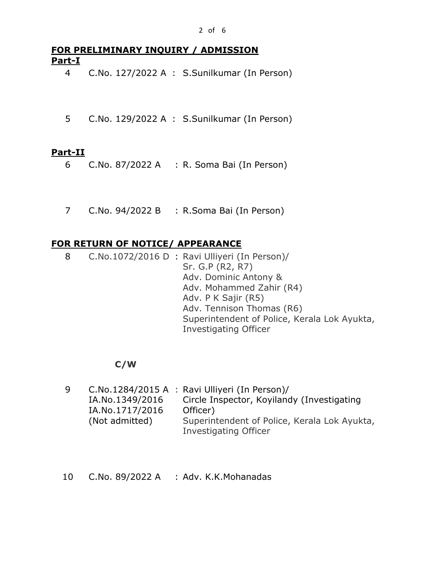# **FOR PRELIMINARY INQUIRY / ADMISSION Part-I**

4 C.No. 127/2022 A : S.Sunilkumar (In Person)

5 C.No. 129/2022 A : S.Sunilkumar (In Person)

#### **Part-II**

- 6 C.No. 87/2022 A : R. Soma Bai (In Person)
- 7 C.No. 94/2022 B : R.Soma Bai (In Person)

# **FOR RETURN OF NOTICE/ APPEARANCE**

8 C.No.1072/2016 D : Ravi Ulliyeri (In Person)/ Sr. G.P (R2, R7) Adv. Dominic Antony & Adv. Mohammed Zahir (R4) Adv. P K Sajir (R5) Adv. Tennison Thomas (R6) Superintendent of Police, Kerala Lok Ayukta, Investigating Officer

#### **C/W**

| 9 |                 | C.No.1284/2015 A : Ravi Ulliyeri (In Person)/ |
|---|-----------------|-----------------------------------------------|
|   | IA.No.1349/2016 | Circle Inspector, Koyilandy (Investigating    |
|   | IA.No.1717/2016 | Officer)                                      |
|   | (Not admitted)  | Superintendent of Police, Kerala Lok Ayukta,  |
|   |                 | Investigating Officer                         |

10 C.No. 89/2022 A : Adv. K.K.Mohanadas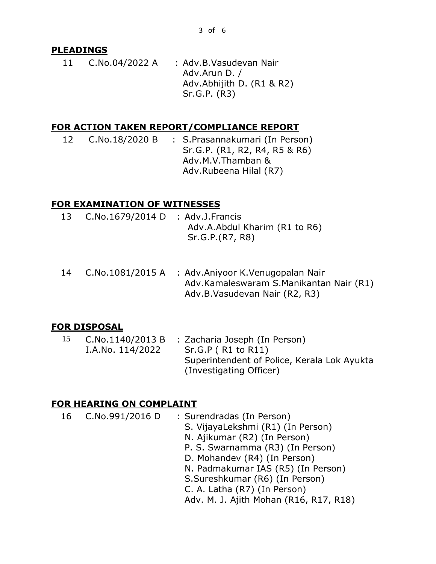# **PLEADINGS**

11 C.No.04/2022 A : Adv.B.Vasudevan Nair Adv.Arun D. / Adv.Abhijith D. (R1 & R2) Sr.G.P. (R3)

## **FOR ACTION TAKEN REPORT/COMPLIANCE REPORT**

12 C.No.18/2020 B : S.Prasannakumari (In Person) Sr.G.P. (R1, R2, R4, R5 & R6) Adv.M.V.Thamban & Adv.Rubeena Hilal (R7)

# **FOR EXAMINATION OF WITNESSES**

- 13 C.No.1679/2014 D : Adv.J.Francis Adv.A.Abdul Kharim (R1 to R6) Sr.G.P.(R7, R8)
- 14 C.No.1081/2015 A : Adv.Aniyoor K.Venugopalan Nair Adv.Kamaleswaram S.Manikantan Nair (R1) Adv.B.Vasudevan Nair (R2, R3)

# **FOR DISPOSAL**

15 C.No.1140/2013 B I.A.No. 114/2022 : Zacharia Joseph (In Person) Sr.G.P ( R1 to R11) Superintendent of Police, Kerala Lok Ayukta (Investigating Officer)

# **FOR HEARING ON COMPLAINT**

- 16 C.No.991/2016 D : Surendradas (In Person)
	- S. VijayaLekshmi (R1) (In Person)
	- N. Ajikumar (R2) (In Person)
	- P. S. Swarnamma (R3) (In Person)
	- D. Mohandev (R4) (In Person)
	- N. Padmakumar IAS (R5) (In Person)
	- S.Sureshkumar (R6) (In Person)
	- C. A. Latha (R7) (In Person)
	- Adv. M. J. Ajith Mohan (R16, R17, R18)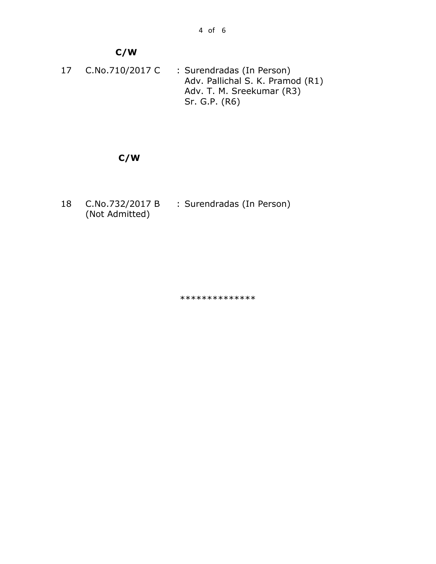# **C/W**

17 C.No.710/2017 C : Surendradas (In Person) Adv. Pallichal S. K. Pramod (R1) Adv. T. M. Sreekumar (R3) Sr. G.P. (R6)

# **C/W**

18 C.No.732/2017 B (Not Admitted) : Surendradas (In Person)

\*\*\*\*\*\*\*\*\*\*\*\*\*\*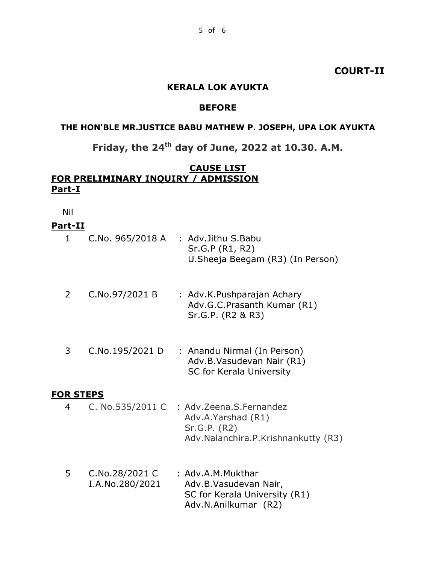## **COURT-II**

#### **KERALA LOK AYUKTA**

#### **BEFORE**

# **THE HON'BLE MR.JUSTICE BABU MATHEW P. JOSEPH, UPA LOK AYUKTA**

# **Friday, the 24th day of June, 2022 at 10.30. A.M.**

#### **CAUSE LIST FOR PRELIMINARY INQUIRY / ADMISSION Part-I**

Nil

#### **Part-II**

| C.No. 965/2018 A | : Adv.Jithu S.Babu<br>Sr.G.P (R1, R2)<br>U. Sheeja Beegam (R3) (In Person)     |
|------------------|--------------------------------------------------------------------------------|
| C.No.97/2021 B   | : Adv.K.Pushparajan Achary<br>Adv.G.C.Prasanth Kumar (R1)<br>Sr.G.P. (R2 & R3) |

| C.No.195/2021 D | : Anandu Nirmal (In Person) |
|-----------------|-----------------------------|
|                 | Adv.B.Vasudevan Nair (R1)   |
|                 | SC for Kerala University    |

#### **FOR STEPS**

- 4 C. No.535/2011 C : Adv.Zeena.S.Fernandez Adv.A.Yarshad (R1) Sr.G.P. (R2) Adv.Nalanchira.P.Krishnankutty (R3)
- 5 C.No.28/2021 C I.A.No.280/2021 : Adv.A.M.Mukthar Adv.B.Vasudevan Nair, SC for Kerala University (R1) Adv.N.Anilkumar (R2)